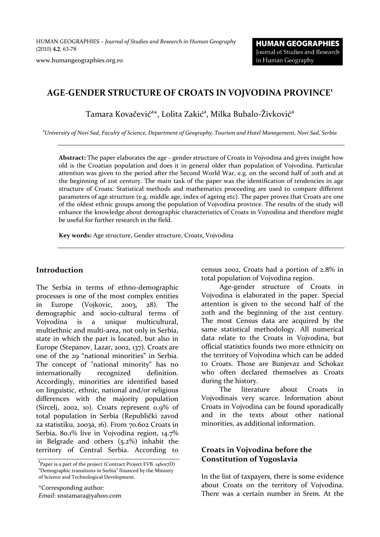HUMAN GEOGRAPHIES *– Journal of Studies and Research in Human Geography* (2010) **4.2**, 63-78

www.humangeographies.org.ro

# **AGE-GENDER STRUCTURE OF CROATS IN VOJVODINA PROVINCE<sup>1</sup>**

Tamara Kovačević<sup>a</sup>\*, Lolita Zakić<sup>a</sup>, Milka Bubalo-Živković<sup>a</sup>

<sup>a</sup>*University of Novi Sad, Faculty of Science, Department of Geography, Tourism and Hotel Management, Novi Sad, Serbia*

**Abstract:** The paper elaborates the age - gender structure of Croats in Vojvodina and gives insight how old is the Croatian population and does it in general older than population of Vojvodina. Particular attention was given to the period after the Second World War, e.g. on the second half of 20th and at the beginning of 21st century. The main task of the paper was the identification of tendencies in age structure of Croats. Statistical methods and mathematics proceeding are used to compare different parameters of age structure (e.g. middle age, index of ageing etc). The paper proves that Croats are one of the oldest ethnic groups among the population of Vojvodina province. The results of the study will enhance the knowledge about demographic characteristics of Croats in Vojvodina and therefore might be useful for further research in the field.

**Key words:** Age structure, Gender structure, Croats, Vojvodina

#### **Introduction**

The Serbia in terms of ethno-demographic processes is one of the most complex entities in Europe (Vojkovic, 2003, 28). The demographic and socio-cultural terms of Vojvodina is a unique multicultural, multiethnic and multi-area, not only in Serbia, state in which the part is located, but also in Europe (Stepanov, Lazar, 2002, 137). Croats are one of the 29 "national minorities" in Serbia. The concept of "national minority" has no internationally recognized definition. Accordingly, minorities are identified based on linguistic, ethnic, national and/or religious differences with the majority population (Sircelj, 2002, 10). Croats represent 0.9% of total population in Serbia (Republički zavod za statistiku, 2003a, 16). From 70.602 Croats in Serbia, 80.1% live in Vojvodina region, 14.7% in Belgrade and others (5.2%) inhabit the territory of Central Serbia. According to

\*Corresponding author: *Email*: snstamara@yahoo.com census 2002, Croats had a portion of 2.8% in total population of Vojvodina region.

Age-gender structure of Croats in Vojvodina is elaborated in the paper. Special attention is given to the second half of the 20th and the beginning of the 21st century. The most Census data are acquired by the same statistical methodology. All numerical data relate to the Croats in Vojvodina, but official statistics founds two more ethnicity on the territory of Vojvodina which can be added to Croats. Those are Bunjevaz and Schokaz who often declared themselves as Croats during the history.

The literature about Croats in Vojvodinais very scarce. Information about Croats in Vojvodina can be found sporadically and in the texts about other national minorities, as additional information.

## **Croats in Vojvodina before the Constitution of Yugoslavia**

In the list of taxpayers, there is some evidence about Croats on the territory of Vojvodina. There was a certain number in Srem. At the

<sup>&</sup>lt;sup>1</sup>Paper is a part of the project (Contract Project EVB. 146017D) "Demographic transitions in Serbia" financed by the Ministry of Science and Technological Development.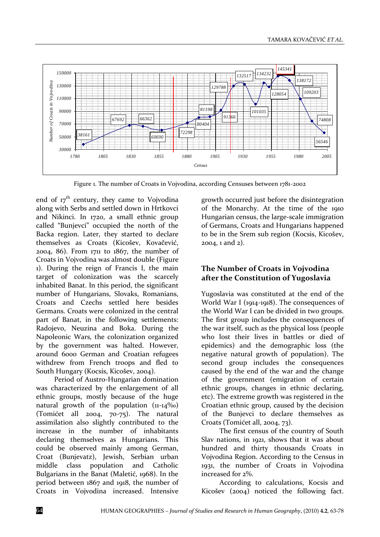

Figure 1. The number of Croats in Vojvodina, according Censuses between 1781-2002

end of  $17<sup>th</sup>$  century, they came to Vojvodina along with Serbs and settled down in Hrtkovci and Nikinci. In 1720, a small ethnic group called "Bunjevci" occupied the north of the Backa region. Later, they started to declare themselves as Croats (Kicošev, Kovačević, 2004, 86). From 1711 to 1867, the number of Croats in Vojvodina was almost double (Figure 1). During the reign of Francis I, the main target of colonization was the scarcely inhabited Banat. In this period, the significant number of Hungarians, Slovaks, Romanians, Croats and Czechs settled here besides Germans. Croats were colonized in the central part of Banat, in the following settlements: Radojevo, Neuzina and Boka. During the Napoleonic Wars, the colonization organized by the government was halted. However, around 6000 German and Croatian refugees withdrew from French troops and fled to South Hungary (Kocsis, Kicošev, 2004).

Period of Austro-Hungarian domination was characterized by the enlargement of all ethnic groups, mostly because of the huge natural growth of the population (11-14‰) (Tomićet all 2004, 70-75). The natural assimilation also slightly contributed to the increase in the number of inhabitants declaring themselves as Hungarians. This could be observed mainly among German, Croat (Bunjevatz), Jewish, Serbian urban middle class population and Catholic Bulgarians in the Banat (Maletić, 1968). In the period between 1867 and 1918, the number of Croats in Vojvodina increased. Intensive

growth occurred just before the disintegration of the Monarchy. At the time of the 1910 Hungarian census, the large-scale immigration of Germans, Croats and Hungarians happened to be in the Srem sub region (Kocsis, Kicošev, 2004, 1 and 2).

## **The Number of Croats in Vojvodina after the Constitution of Yugoslavia**

Yugoslavia was constituted at the end of the World War I (1914-1918). The consequences of the World War I can be divided in two groups. The first group includes the consequences of the war itself, such as the physical loss (people who lost their lives in battles or died of epidemics) and the demographic loss (the negative natural growth of population). The second group includes the consequences caused by the end of the war and the change of the government (emigration of certain ethnic groups, changes in ethnic declaring, etc). The extreme growth was registered in the Croatian ethnic group, caused by the decision of the Bunjevci to declare themselves as Croats (Tomićet all, 2004, 73).

The first census of the country of South Slav nations, in 1921, shows that it was about hundred and thirty thousands Croats in Vojvodina Region. According to the Census in 1931, the number of Croats in Vojvodina increased for 2%.

According to calculations, Kocsis and Kicošev (2004) noticed the following fact.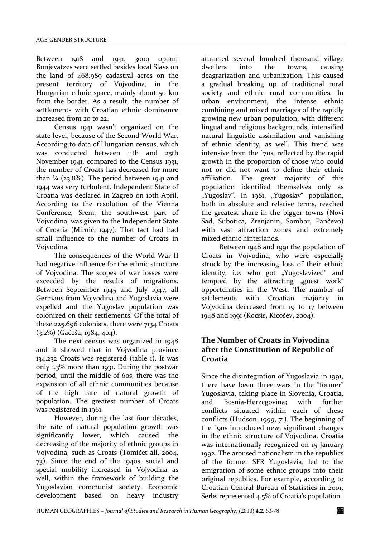Between 1918 and 1931, 3000 optant Bunjevatzes were settled besides local Slavs on the land of 468.989 cadastral acres on the present territory of Vojvodina, in the Hungarian ethnic space, mainly about 50 km from the border. As a result, the number of settlements with Croatian ethnic dominance increased from 20 to 22.

Census 1941 wasn't organized on the state level, because of the Second World War. According to data of Hungarian census, which was conducted between 11th and 25th November 1941, compared to the Census 1931, the number of Croats has decreased for more than  $\frac{1}{4}$  (23.8%). The period between 1941 and 1944 was very turbulent. Independent State of Croatia was declared in Zagreb on 10th April. According to the resolution of the Vienna Conference, Srem, the southwest part of Vojvodina, was given to the Independent State of Croatia (Mirnić, 1947). That fact had had small influence to the number of Croats in Vojvodina.

The consequences of the World War II had negative influence for the ethnic structure of Vojvodina. The scopes of war losses were exceeded by the results of migrations. Between September 1945 and July 1947, all Germans from Vojvodina and Yugoslavia were expelled and the Yugoslav population was colonized on their settlements. Of the total of these 225.696 colonists, there were 7134 Croats (3.2%) (Gaćeša, 1984, 404).

The next census was organized in 1948 and it showed that in Vojvodina province 134.232 Croats was registered (table 1). It was only 1.3% more than 1931. During the postwar period, until the middle of 60s, there was the expansion of all ethnic communities because of the high rate of natural growth of population. The greatest number of Croats was registered in 1961.

However, during the last four decades, the rate of natural population growth was significantly lower, which caused the decreasing of the majority of ethnic groups in Vojvodina, such as Croats (Tomićet all, 2004, 73). Since the end of the 1940s, social and special mobility increased in Vojvodina as well, within the framework of building the Yugoslavian communist society. Economic development based on heavy industry

attracted several hundred thousand village dwellers into the towns, causing deagrarization and urbanization. This caused a gradual breaking up of traditional rural society and ethnic rural communities. In urban environment, the intense ethnic combining and mixed marriages of the rapidly growing new urban population, with different lingual and religious backgrounds, intensified natural linguistic assimilation and vanishing of ethnic identity, as well. This trend was intensive from the `70s, reflected by the rapid growth in the proportion of those who could not or did not want to define their ethnic affiliation. The great majority of this population identified themselves only as "Yugoslav". In 1981, "Yugoslav" population, both in absolute and relative terms, reached the greatest share in the bigger towns (Novi Sad, Subotica, Zrenjanin, Sombor, Pančevo) with vast attraction zones and extremely mixed ethnic hinterlands.

Between 1948 and 1991 the population of Croats in Vojvodina, who were especially struck by the increasing loss of their ethnic identity, i.e. who got "Yugoslavized" and tempted by the attracting "guest work" opportunities in the West. The number of settlements with Croatian majority in Vojvodina decreased from 19 to 17 between 1948 and 1991 (Kocsis, Kicošev, 2004).

## **The Number of Croats in Vojvodina after the Constitution of Republic of Croatia**

Since the disintegration of Yugoslavia in 1991, there have been three wars in the "former" Yugoslavia, taking place in Slovenia, Croatia, and Bosnia-Herzegovina; with further conflicts situated within each of these conflicts (Hudson, 1999, 71). The beginning of the `90s introduced new, significant changes in the ethnic structure of Vojvodina. Croatia was internationally recognized on 15 January 1992. The aroused nationalism in the republics of the former SFR Yugoslavia, led to the emigration of some ethnic groups into their original republics. For example, according to Croatian Central Bureau of Statistics in 2001, Serbs represented 4.5% of Croatia's population.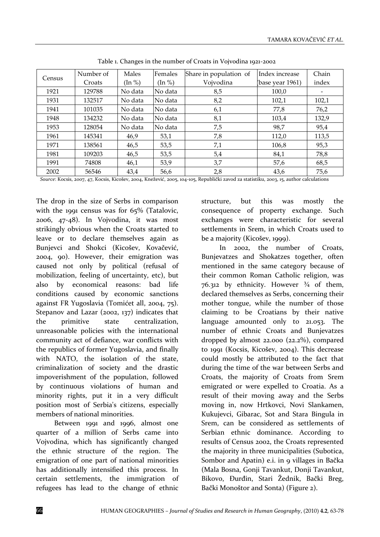|        | Number of | Males   | Females             | Share in population of | Index increase   | Chain |
|--------|-----------|---------|---------------------|------------------------|------------------|-------|
| Census | Croats    | (In %)  | $(\ln \frac{9}{6})$ | Vojvodina              | (base year 1961) | index |
| 1921   | 129788    | No data | No data             | 8,5                    | 100,0            |       |
| 1931   | 132517    | No data | No data             | 8,2                    | 102,1            | 102,1 |
| 1941   | 101035    | No data | No data             | 6,1                    | 77,8             | 76,2  |
| 1948   | 134232    | No data | No data             | 8,1                    | 103,4            | 132,9 |
| 1953   | 128054    | No data | No data             | 7,5                    | 98,7             | 95,4  |
| 1961   | 145341    | 46,9    | 53,1                | 7,8                    | 112,0            | 113,5 |
| 1971   | 138561    | 46,5    | 53,5                | 7,1                    | 106,8            | 95,3  |
| 1981   | 109203    | 46,5    | 53,5                | 5,4                    | 84,1             | 78,8  |
| 1991   | 74808     | 46,1    | 53,9                | 3,7                    | 57,6             | 68,5  |
| 2002   | 56546     | 43,4    | 56,6                | 2,8                    | 43,6             | 75,6  |

Table 1. Changes in the number of Croats in Vojvodina 1921-2002

*Source*: Kocsis, 2007, 47, Kocsis, Kicošev, 2004, Knežević, 2005, 104-105, Republički zavod za statistiku, 2003, 15, author calculations

The drop in the size of Serbs in comparison with the 1991 census was for 65% (Tatalovic, 2006, 47-48). In Vojvodina, it was most strikingly obvious when the Croats started to leave or to declare themselves again as Bunjevci and Shokci (Kicošev, Kovačević, 2004, 90). However, their emigration was caused not only by political (refusal of mobilization, feeling of uncertainty, etc), but also by economical reasons: bad life conditions caused by economic sanctions against FR Yugoslavia (Tomićet all, 2004, 75). Stepanov and Lazar (2002, 137) indicates that the primitive state centralization, unreasonable policies with the international community act of defiance, war conflicts with the republics of former Yugoslavia, and finally with NATO, the isolation of the state, criminalization of society and the drastic impoverishment of the population, followed by continuous violations of human and minority rights, put it in a very difficult position most of Serbia's citizens, especially members of national minorities.

Between 1991 and 1996, almost one quarter of a million of Serbs came into Vojvodina, which has significantly changed the ethnic structure of the region. The emigration of one part of national minorities has additionally intensified this process. In certain settlements, the immigration of refugees has lead to the change of ethnic

structure, but this was mostly the consequence of property exchange. Such exchanges were characteristic for several settlements in Srem, in which Croats used to be a majority (Kicošev, 1999).

In 2002, the number of Croats, Bunjevatzes and Shokatzes together, often mentioned in the same category because of their common Roman Catholic religion, was 76.312 by ethnicity. However  $\frac{3}{4}$  of them, declared themselves as Serbs, concerning their mother tongue, while the number of those claiming to be Croatians by their native language amounted only to 21.053. The number of ethnic Croats and Bunjevatzes dropped by almost 22.000 (22.2%), compared to 1991 (Kocsis, Kicošev, 2004). This decrease could mostly be attributed to the fact that during the time of the war between Serbs and Croats, the majority of Croats from Srem emigrated or were expelled to Croatia. As a result of their moving away and the Serbs moving in, now Hrtkovci, Novi Slankamen, Kukujevci, Gibarac, Sot and Stara Bingula in Srem, can be considered as settlements of Serbian ethnic dominance. According to results of Census 2002, the Croats represented the majority in three municipalities (Subotica, Sombor and Apatin) e.i. in 9 villages in Bačka (Mala Bosna, Gonji Tavankut, Donji Tavankut, Bikovo, Đurđin, Stari Žednik, Bački Breg, Bački Monoštor and Sonta) (Figure 2).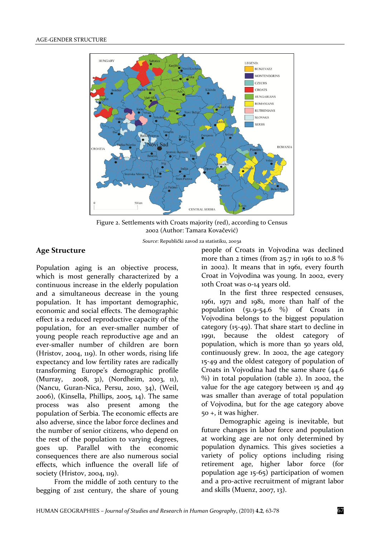

Figure 2. Settlements with Croats majority (red), according to Census 2002 (Author: Tamara Kovačević)

*Source*: Republički zavod za statistiku, 2003a

## **Age Structure**

Population aging is an objective process, which is most generally characterized by a continuous increase in the elderly population and a simultaneous decrease in the young population. It has important demographic, economic and social effects. The demographic effect is a reduced reproductive capacity of the population, for an ever-smaller number of young people reach reproductive age and an ever-smaller number of children are born (Hristov, 2004, 119). In other words, rising life expectancy and low fertility rates are radically transforming Europe's demographic profile (Murray, 2008, 31), (Nordheim, 2003, 11), (Nancu, Guran-Nica, Persu, 2010, 34), (Weil, 2006), (Kinsella, Phillips, 2005, 14). The same process was also present among the population of Serbia. The economic effects are also adverse, since the labor force declines and the number of senior citizens, who depend on the rest of the population to varying degrees, goes up. Parallel with the economic consequences there are also numerous social effects, which influence the overall life of society (Hristov, 2004, 119).

From the middle of 20th century to the begging of 21st century, the share of young people of Croats in Vojvodina was declined more than 2 times (from 25.7 in 1961 to 10.8 % in 2002). It means that in 1961, every fourth Croat in Vojvodina was young. In 2002, every 10th Croat was 0-14 years old.

In the first three respected censuses, 1961, 1971 and 1981, more than half of the population  $(51.9-54.6 \%)$  of Croats in Vojvodina belongs to the biggest population category (15-49). That share start to decline in 1991, because the oldest category of population, which is more than 50 years old, continuously grew. In 2002, the age category 15-49 and the oldest category of population of Croats in Vojvodina had the same share (44.6 %) in total population (table 2). In 2002, the value for the age category between 15 and 49 was smaller than average of total population of Vojvodina, but for the age category above 50 +, it was higher.

Demographic ageing is inevitable, but future changes in labor force and population at working age are not only determined by population dynamics. This gives societies a variety of policy options including rising retirement age, higher labor force (for population age 15-65) participation of women and a pro-active recruitment of migrant labor and skills (Muenz, 2007, 13).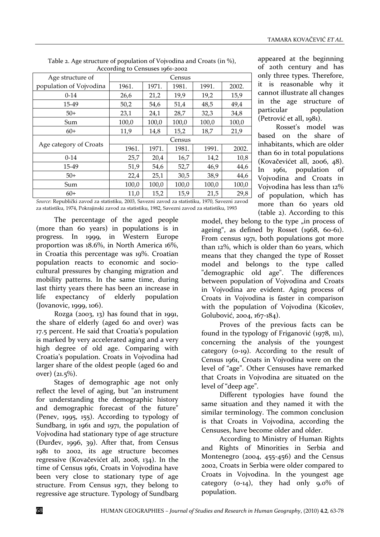| $1.000$ and $1.000$ and $1.000$ and $1.000$ and $1.000$ and $1.000$ and $1.000$ and $1.000$ and $1.000$ and $1.000$ and $1.000$ and $1.000$ and $1.000$ and $1.000$ and $1.000$ and $1.000$ and $1.000$ and $1.000$ and $1.00$ |        |       |       |       |       |  |  |
|--------------------------------------------------------------------------------------------------------------------------------------------------------------------------------------------------------------------------------|--------|-------|-------|-------|-------|--|--|
| Age structure of                                                                                                                                                                                                               | Census |       |       |       |       |  |  |
| population of Vojvodina                                                                                                                                                                                                        | 1961.  | 1971. | 1981. | 1991. | 2002. |  |  |
| $0-14$                                                                                                                                                                                                                         | 26,6   | 21,2  | 19,9  | 19,2  | 15,9  |  |  |
| 15-49                                                                                                                                                                                                                          | 50,2   | 54,6  | 51,4  | 48,5  | 49,4  |  |  |
| $50+$                                                                                                                                                                                                                          | 23,1   | 24,1  | 28,7  | 32,3  | 34,8  |  |  |
| Sum                                                                                                                                                                                                                            | 100,0  | 100,0 | 100,0 | 100,0 | 100,0 |  |  |
| $60+$                                                                                                                                                                                                                          | 11,9   | 14,8  | 15,2  | 18,7  | 21,9  |  |  |
|                                                                                                                                                                                                                                | Census |       |       |       |       |  |  |
| Age category of Croats                                                                                                                                                                                                         | 1961.  | 1971. | 1981. | 1991. | 2002. |  |  |
| $0-14$                                                                                                                                                                                                                         | 25,7   | 20,4  | 16,7  | 14,2  | 10,8  |  |  |
| 15-49                                                                                                                                                                                                                          | 51,9   | 54,6  | 52,7  | 46,9  | 44,6  |  |  |
| $50+$                                                                                                                                                                                                                          | 22,4   | 25,1  | 30,5  | 38,9  | 44,6  |  |  |
| Sum                                                                                                                                                                                                                            | 100,0  | 100,0 | 100,0 | 100,0 | 100,0 |  |  |
| $60+$                                                                                                                                                                                                                          | 11,0   | 15,2  | 15,9  | 21,5  | 29,8  |  |  |
|                                                                                                                                                                                                                                |        |       |       |       |       |  |  |

Table 2. Age structure of population of Vojvodina and Croats (in %), According to Censuses 1961-2002

*Source*: Republički zavod za statistiku, 2003, Savezni zavod za statistiku, 1970, Savezni zavod za statistiku, 1974, Pokrajinski zavod za statistiku, 1982, Savezni zavod za statistiku, 1993

The percentage of the aged people (more than 60 years) in populations is in progress. In 1999, in Western Europe proportion was 18.6%, in North America 16%, in Croatia this percentage was 19%. Croatian population reacts to economic and sociocultural pressures by changing migration and mobility patterns. In the same time, during last thirty years there has been an increase in life expectancy of elderly population (Jovanovic, 1999, 106).

Rozga (2003, 13) has found that in 1991, the share of elderly (aged 60 and over) was 17.5 percent. He said that Croatia's population is marked by very accelerated aging and a very high degree of old age. Comparing with Croatia's population. Croats in Vojvodina had larger share of the oldest people (aged 60 and over) (21.5%).

Stages of demographic age not only reflect the level of aging, but "an instrument for understanding the demographic history and demographic forecast of the future" (Penev, 1995, 155). According to typology of Sundbarg, in 1961 and 1971, the population of Vojvodina had stationary type of age structure (Đurđev, 1996, 39). After that, from Census 1981 to 2002, its age structure becomes regressive (Kovačevićet all, 2008, 134). In the time of Census 1961, Croats in Vojvodina have been very close to stationary type of age structure. From Census 1971, they belong to regressive age structure. Typology of Sundbarg

appeared at the beginning of 20th century and has only three types. Therefore, it is reasonable why it cannot illustrate all changes in the age structure of particular population (Petrović et all, 1981).

Rosset's model was based on the share of inhabitants, which are older than 60 in total populations (Kovačevićet all, 2006, 48). In 1961, population of Vojvodina and Croats in Vojvodina has less than 12% of population, which has more than 60 years old (table 2). According to this

model, they belong to the type "in process of ageing", as defined by Rosset (1968, 60-61). From census 1971, both populations got more than 12%, which is older than 60 years, which means that they changed the type of Rosset model and belongs to the type called "demographic old age". The differences between population of Vojvodina and Croats in Vojvodina are evident. Aging process of Croats in Vojvodina is faster in comparison with the population of Vojvodina (Kicošev, Golubović, 2004, 167-184).

Proves of the previous facts can be found in the typology of Friganović (1978, 111), concerning the analysis of the youngest category (0-19). According to the result of Census 1961, Croats in Vojvodina were on the level of "age". Other Censuses have remarked that Croats in Vojvodina are situated on the level of "deep age".

Different typologies have found the same situation and they named it with the similar terminology. The common conclusion is that Croats in Vojvodina, according the Censuses, have become older and older.

According to Ministry of Human Rights and Rights of Minorities in Serbia and Montenegro (2004, 455-456) and the Census 2002, Croats in Serbia were older compared to Croats in Vojvodina. In the youngest age category ( $o$ -14), they had only  $g.o$  of population.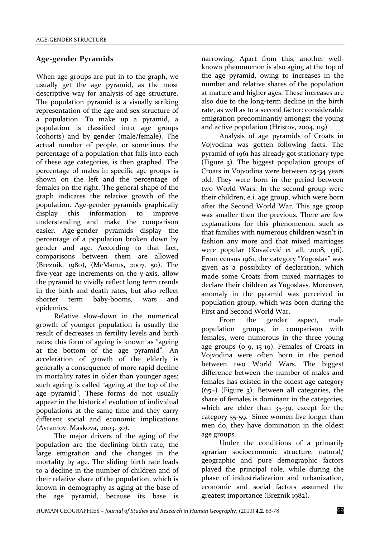## **Age-gender Pyramids**

When age groups are put in to the graph, we usually get the age pyramid, as the most descriptive way for analysis of age structure. The population pyramid is a visually striking representation of the age and sex structure of a population. To make up a pyramid, a population is classified into age groups (cohorts) and by gender (male/female). The actual number of people, or sometimes the percentage of a population that falls into each of these age categories, is then graphed. The percentage of males in specific age groups is shown on the left and the percentage of females on the right. The general shape of the graph indicates the relative growth of the population. Age-gender pyramids graphically display this information to improve understanding and make the comparison easier. Age-gender pyramids display the percentage of a population broken down by gender and age. According to that fact, comparisons between them are allowed (Breznik, 1980), (McManus, 2007, 50). The five-year age increments on the y-axis, allow the pyramid to vividly reflect long term trends in the birth and death rates, but also reflect shorter term baby-booms, wars and epidemics.

Relative slow-down in the numerical growth of younger population is usually the result of decreases in fertility levels and birth rates; this form of ageing is known as "ageing at the bottom of the age pyramid". An acceleration of growth of the elderly is generally a consequence of more rapid decline in mortality rates in older than younger ages; such ageing is called "ageing at the top of the age pyramid". These forms do not usually appear in the historical evolution of individual populations at the same time and they carry different social and economic implications (Avramov, Maskova, 2003, 30).

The major drivers of the aging of the population are the declining birth rate, the large emigration and the changes in the mortality by age. The sliding birth rate leads to a decline in the number of children and of their relative share of the population, which is known in demography as aging at the base of the age pyramid, because its base is

narrowing. Apart from this, another wellknown phenomenon is also aging at the top of the age pyramid, owing to increases in the number and relative shares of the population at mature and higher ages. These increases are also due to the long-term decline in the birth rate, as well as to a second factor: considerable emigration predominantly amongst the young and active population (Hristov, 2004, 119)

Analysis of age pyramids of Croats in Vojvodina was gotten following facts. The pyramid of 1961 has already got stationary type (Figure 3). The biggest population groups of Croats in Vojvodina were between 25-34 years old. They were born in the period between two World Wars. In the second group were their children, e.i. age group, which were born after the Second World War. This age group was smaller then the previous. There are few explanations for this phenomenon, such as that families with numerous children wasn't in fashion any more and that mixed marriages were popular (Kovačević et all, 2008, 136). From census 1961, the category "Yugoslav" was given as a possibility of declaration, which made some Croats from mixed marriages to declare their children as Yugoslavs. Moreover, anomaly in the pyramid was perceived in population group, which was born during the First and Second World War.

From the gender aspect, male population groups, in comparison with females, were numerous in the three young age groups (0-9, 15-19). Females of Croats in Vojvodina were often born in the period between two World Wars. The biggest difference between the number of males and females has existed in the oldest age category  $(65+)$  (Figure 3). Between all categories, the share of females is dominant in the categories, which are elder than 35-39, except for the category 55-59. Since women live longer than men do, they have domination in the oldest age groups.

Under the conditions of a primarily agrarian socioeconomic structure, natural/ geographic and pure demographic factors played the principal role, while during the phase of industrialization and urbanization, economic and social factors assumed the greatest importance (Breznik 1982).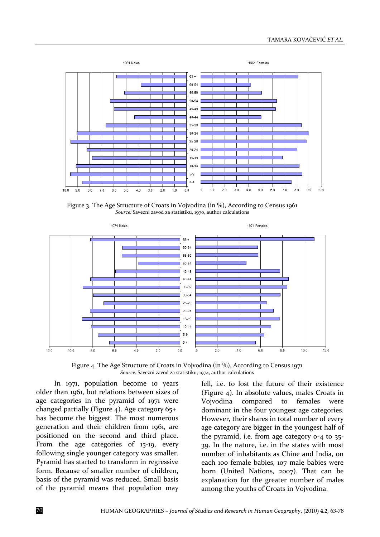

Figure 3. The Age Structure of Croats in Vojvodina (in %), According to Census 1961 *Source:* Savezni zavod za statistiku, 1970, author calculations



Figure 4. The Age Structure of Croats in Vojvodina (in %), According to Census 1971 *Source:* Savezni zavod za statistiku, 1974, author calculations

In 1971, population become 10 years older than 1961, but relations between sizes of age categories in the pyramid of 1971 were changed partially (Figure 4). Age category  $65+$ has become the biggest. The most numerous generation and their children from 1961, are positioned on the second and third place. From the age categories of 15-19, every following single younger category was smaller. Pyramid has started to transform in regressive form. Because of smaller number of children, basis of the pyramid was reduced. Small basis of the pyramid means that population may

fell, i.e. to lost the future of their existence (Figure 4). In absolute values, males Croats in Vojvodina compared to females were dominant in the four youngest age categories. However, their shares in total number of every age category are bigger in the youngest half of the pyramid, i.e. from age category 0-4 to 35- 39. In the nature, i.e. in the states with most number of inhabitants as Chine and India, on each 100 female babies, 107 male babies were born (United Nations, 2007). That can be explanation for the greater number of males among the youths of Croats in Vojvodina.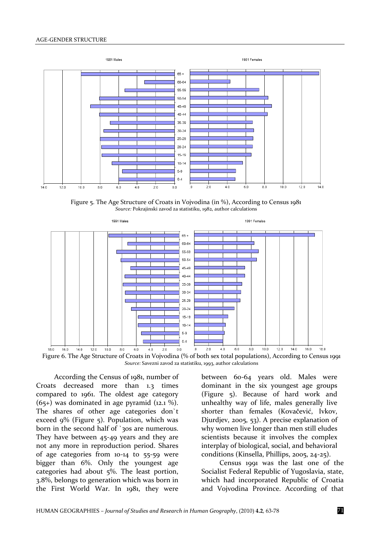

Figure 5. The Age Structure of Croats in Vojvodina (in %), According to Census 1981 *Source:* Pokrajinski zavod za statistiku, 1982, author calculations



According the Census of 1981, number of Croats decreased more than 1.3 times compared to 1961. The oldest age category  $(65+)$  was dominated in age pyramid  $(12.1\%)$ . The shares of other age categories don`t exceed 9% (Figure 5). Population, which was born in the second half of `30s are numerous. They have between 45-49 years and they are not any more in reproduction period. Shares of age categories from 10-14 to 55-59 were bigger than 6%. Only the youngest age categories had about 5%. The least portion, 3.8%, belongs to generation which was born in the First World War. In 1981, they were

between 60-64 years old. Males were dominant in the six youngest age groups (Figure 5). Because of hard work and unhealthy way of life, males generally live shorter than females (Kovačević, Ivkov, Djurdjev, 2005, 53). A precise explanation of why women live longer than men still eludes scientists because it involves the complex interplay of biological, social, and behavioral conditions (Kinsella, Phillips, 2005, 24-25).

Census 1991 was the last one of the Socialist Federal Republic of Yugoslavia, state, which had incorporated Republic of Croatia and Vojvodina Province. According of that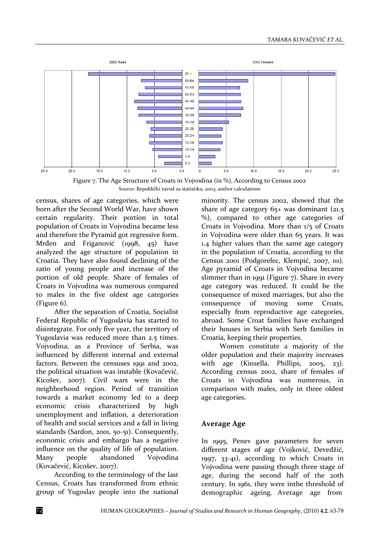

Figure 7. The Age Structure of Croats in Vojvodina (in %), According to Census 2002 Source: Republički zavod za statistiku, 2003, author calculations

census, shares of age categories, which were born after the Second World War, have shown certain regularity. Their portion in total population of Croats in Vojvodina became less and therefore the Pyramid got regressive form. Mrđen and Friganović (1998, 45) have analyzed the age structure of population in Croatia. They have also found declining of the ratio of young people and increase of the portion of old people. Share of females of Croats in Vojvodina was numerous compared to males in the five oldest age categories (Figure 6).

After the separation of Croatia, Socialist Federal Republic of Yugoslavia has started to disintegrate. For only five year, the territory of Yugoslavia was reduced more than 2.5 times. Vojvodina, as a Province of Serbia, was influenced by different internal and external factors. Between the censuses 1991 and 2002, the political situation was instable (Kovačević, Kicošev, 2007). Civil wars were in the neighborhood region. Period of transition towards a market economy led to a deep economic crisis characterized by high unemployment and inflation, a deterioration of health and social services and a fall in living standards (Sardon, 2001, 50-51). Consequently, economic crisis and embargo has a negative influence on the quality of life of population. Many people abandoned Vojvodina (Kovačević, Kicošev, 2007).

According to the terminology of the last Census, Croats has transformed from ethnic group of Yugoslav people into the national minority. The census 2002, showed that the share of age category  $65+$  was dominant (21.5) %), compared to other age categories of Croats in Vojvodina. More than 1/5 of Croats in Vojvodina were older than 65 years. It was 1.4 higher values than the same age category in the population of Croatia, according to the Census 2001 (Podgorelec, Klempić, 2007, 111). Age pyramid of Croats in Vojvodina became slimmer than in 1991 (Figure 7). Share in every age category was reduced. It could be the consequence of mixed marriages, but also the consequence of moving some Croats, especially from reproductive age categories, abroad. Some Croat families have exchanged their houses in Serbia with Serb families in Croatia, keeping their properties.

Women constitute a majority of the older population and their majority increases with age (Kinsella, Phillips, 2005, 23). According census 2002, share of females of Croats in Vojvodina was numerous, in comparison with males, only in three oldest age categories.

#### **Average Age**

In 1995, Penev gave parameters for seven different stages of age (Vojković, Devedžić, 1997, 33-41), according to which Croats in Vojvodina were passing though three stage of age, during the second half of the 20th century. In 1961, they were inthe threshold of demographic ageing. Average age from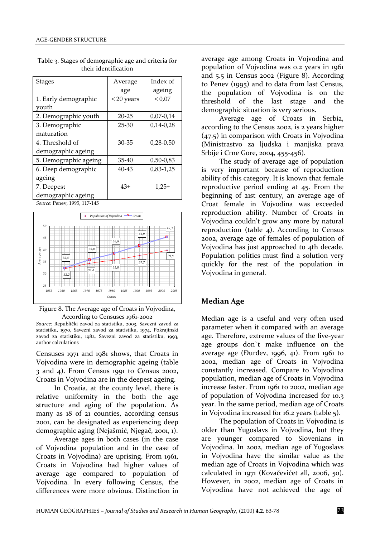| <b>Stages</b>         | Average   | Index of    |  |
|-----------------------|-----------|-------------|--|
|                       | age       | ageing      |  |
| 1. Early demographic  | <20 years | < 0.07      |  |
| vouth                 |           |             |  |
| 2. Demographic youth  | $20 - 25$ | $0,07-0,14$ |  |
| 3. Demographic        | $25 - 30$ | $0,14-0,28$ |  |
| maturation            |           |             |  |
| 4. Threshold of       | $30 - 35$ | $0,28-0,50$ |  |
| demographic ageing    |           |             |  |
| 5. Demographic ageing | 35-40     | $0,50-0,83$ |  |
| 6. Deep demographic   | 40-43     | $0,83-1,25$ |  |
| ageing                |           |             |  |
| 7. Deepest            | $43+$     | $1,25+$     |  |
| demographic ageing    |           |             |  |

Table 3. Stages of demographic age and criteria for their identification

*Source*: Penev, 1995, 117-145



Figure 8. The Average age of Croats in Vojvodina, According to Censuses 1961-2002

*Source:* Republički zavod za statistiku, 2003, Savezni zavod za statistiku, 1970, Savezni zavod za statistiku, 1974, Pokrajinski zavod za statistiku, 1982, Savezni zavod za statistiku, 1993, author calculations

Censuses 1971 and 1981 shows, that Croats in Vojvodina were in demographic ageing (table 3 and 4). From Census 1991 to Census 2002, Croats in Vojvodina are in the deepest ageing.

In Croatia, at the county level, there is relative uniformity in the both the age structure and aging of the population. As many as 18 of 21 counties, according census 2001, can be designated as experiencing deep demographic aging (Nejašmić, Njegač, 2001, 1).

Average ages in both cases (in the case of Vojvodina population and in the case of Croats in Vojvodina) are uprising. From 1961, Croats in Vojvodina had higher values of average age compared to population of Vojvodina. In every following Census, the differences were more obvious. Distinction in

average age among Croats in Vojvodina and population of Vojvodina was 0.2 years in 1961 and 5.5 in Census 2002 (Figure 8). According to Penev (1995) and to data from last Census, the population of Vojvodina is on the threshold of the last stage and the demographic situation is very serious.

Average age of Croats in Serbia, according to the Census 2002, is 2 years higher (47.5) in comparison with Croats in Vojvodina (Ministrastvo za ljudska i manjiska prava Srbije i Crne Gore, 2004, 455-456).

The study of average age of population is very important because of reproduction ability of this category. It is known that female reproductive period ending at 45. From the beginning of 21st century, an average age of Croat female in Vojvodina was exceeded reproduction ability. Number of Croats in Vojvodina couldn't grow any more by natural reproduction (table 4). According to Census 2002, average age of females of population of Vojvodina has just approached to 4th decade. Population politics must find a solution very quickly for the rest of the population in Vojvodina in general.

### **Median Age**

Median age is a useful and very often used parameter when it compared with an average age. Therefore, extreme values of the five-year age groups don`t make influence on the average age (Đurđev, 1996, 41). From 1961 to 2002, median age of Croats in Vojvodina constantly increased. Compare to Vojvodina population, median age of Croats in Vojvodina increase faster. From 1961 to 2002, median age of population of Vojvodina increased for 10.3 year. In the same period, median age of Croats in Vojvodina increased for 16.2 years (table 5).

The population of Croats in Vojvodina is older than Yugoslavs in Vojvodina, but they are younger compared to Slovenians in Vojvodina. In 2002, median age of Yugoslavs in Vojvodina have the similar value as the median age of Croats in Vojvodina which was calculated in 1971 (Kovačevićet all, 2006, 50). However, in 2002, median age of Croats in Vojvodina have not achieved the age of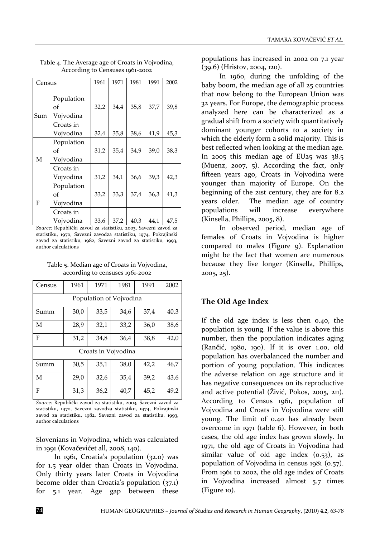| Census |                               | 1961 | 1971 | 1981 | 1991 | 2002 |
|--------|-------------------------------|------|------|------|------|------|
| Sum    | Population<br>оf<br>Vojvodina | 32,2 | 34,4 | 35,8 | 37,7 | 39,8 |
|        | Croats in<br>Vojvodina        | 32,4 | 35,8 | 38,6 | 41,9 | 45,3 |
| M<br>F | Population<br>оf<br>Vojvodina | 31,2 | 35,4 | 34,9 | 39,0 | 38,3 |
|        | Croats in<br>Vojvodina        | 31,2 | 34,1 | 36,6 | 39,3 | 42,3 |
|        | Population<br>оf<br>Vojvodina | 33,2 | 33,3 | 37,4 | 36,3 | 41,3 |
|        | Croats in<br>Vojvodina        | 33,6 | 37,2 | 40,3 | 44,1 | 47,5 |

Table 4. The Average age of Croats in Vojvodina, According to Censuses 1961-2002

*Source:* Republički zavod za statistiku, 2003, Savezni zavod za statistiku, 1970, Savezni zavodza statistiku, 1974, Pokrajinski zavod za statistiku, 1982, Savezni zavod za statistiku, 1993, author calculations

Table 5. Median age of Croats in Vojvodina, according to censuses 1961-2002

| Census                  | 1961 | 1971 | 1981 | 1991 | 2002 |  |  |  |  |
|-------------------------|------|------|------|------|------|--|--|--|--|
| Population of Vojvodina |      |      |      |      |      |  |  |  |  |
| Summ                    | 30,0 | 33,5 | 34,6 | 37,4 | 40,3 |  |  |  |  |
| M                       | 28,9 | 32,1 | 33,2 | 36,0 | 38,6 |  |  |  |  |
| F                       | 31,2 | 34,8 | 36,4 | 38,8 | 42,0 |  |  |  |  |
| Croats in Vojvodina     |      |      |      |      |      |  |  |  |  |
| Summ                    | 30,5 | 35,1 | 38,0 | 42,2 | 46,7 |  |  |  |  |
| M                       | 29,0 | 32,6 | 35,4 | 39,2 | 43,6 |  |  |  |  |
| F                       | 31,3 | 36,2 | 40,7 | 45,2 | 49,2 |  |  |  |  |

*Source:* Republički zavod za statistiku, 2003, Savezni zavod za statistiku, 1970, Savezni zavodza statistiku, 1974, Pokrajinski zavod za statistiku, 1982, Savezni zavod za statistiku, 1993, author calculations

Slovenians in Vojvodina, which was calculated in 1991 (Kovačevićet all, 2008, 140).

In 1961, Croatia's population (32.0) was for 1.5 year older than Croats in Vojvodina. Only thirty years later Croats in Vojvodina become older than Croatia's population (37.1) for 5.1 year. Age gap between these populations has increased in 2002 on 7.1 year (39.6) (Hristov, 2004, 120).

In 1960, during the unfolding of the baby boom, the median age of all 25 countries that now belong to the European Union was 32 years. For Europe, the demographic process analyzed here can be characterized as a gradual shift from a society with quantitatively dominant younger cohorts to a society in which the elderly form a solid majority. This is best reflected when looking at the median age. In 2005 this median age of EU25 was 38.5 (Muenz, 2007, 5). According the fact, only fifteen years ago, Croats in Vojvodina were younger than majority of Europe. On the beginning of the 21st century, they are for 8.2 years older. The median age of country populations will increase everywhere (Kinsella, Phillips, 2005, 8).

In observed period, median age of females of Croats in Vojvodina is higher compared to males (Figure 9). Explanation might be the fact that women are numerous because they live longer (Kinsella, Phillips, 2005, 25).

## **The Old Age Index**

If the old age index is less then 0.40, the population is young. If the value is above this number, then the population indicates aging (Rančić, 1980, 190). If it is over 1.00, old population has overbalanced the number and portion of young population. This indicates the adverse relation on age structure and it has negative consequences on its reproductive and active potential (Živić, Pokos, 2005, 211). According to Census 1961, population of Vojvodina and Croats in Vojvodina were still young. The limit of 0.40 has already been overcome in 1971 (table 6). However, in both cases, the old age index has grown slowly. In 1971, the old age of Croats in Vojvodina had similar value of old age index  $(0.53)$ , as population of Vojvodina in census 1981 (0.57). From 1961 to 2002, the old age index of Croats in Vojvodina increased almost 5.7 times (Figure 10).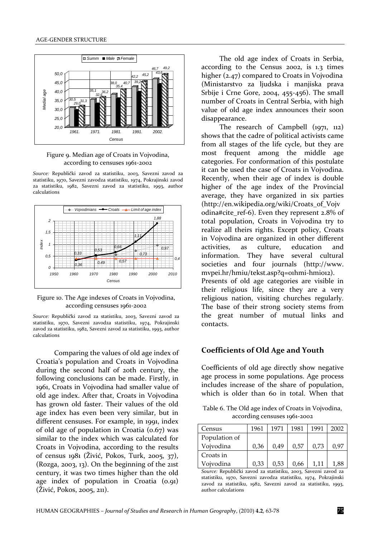

Figure 9. Median age of Croats in Vojvodina, according to censuses 1961-2002

*Source:* Republički zavod za statistiku, 2003, Savezni zavod za statistiku, 1970, Savezni zavodza statistiku, 1974, Pokrajinski zavod za statistiku, 1982, Savezni zavod za statistiku, 1993, author calculations



Figure 10. The Age indexes of Croats in Vojvodina, according censuses 1961-2002

*Source:* Republički zavod za statistiku, 2003, Savezni zavod za statistiku, 1970, Savezni zavodza statistiku, 1974, Pokrajinski zavod za statistiku, 1982, Savezni zavod za statistiku, 1993, author calculations

Comparing the values of old age index of Croatia's population and Croats in Vojvodina during the second half of 20th century, the following conclusions can be made. Firstly, in 1961, Croats in Vojvodina had smaller value of old age index. After that, Croats in Vojvodina has grown old faster. Their values of the old age index has even been very similar, but in different censuses. For example, in 1991, index of old age of population in Croatia (0.67) was similar to the index which was calculated for Croats in Vojvodina, according to the results of census 1981 (Živić, Pokos, Turk, 2005, 37), (Rozga, 2003, 13). On the beginning of the 21st century, it was two times higher than the old age index of population in Croatia  $(0.91)$ (Živić, Pokos, 2005, 211).

The old age index of Croats in Serbia, according to the Census 2002, is 1.3 times higher (2.47) compared to Croats in Vojvodina (Ministarstvo za ljudska i manjiska prava Srbije i Crne Gore, 2004, 455-456). The small number of Croats in Central Serbia, with high value of old age index announces their soon disappearance.

The research of Campbell (1971, 112) shows that the cadre of political activists came from all stages of the life cycle, but they are most frequent among the middle age categories. For conformation of this postulate it can be used the case of Croats in Vojvodina. Recently, when their age of index is double higher of the age index of the Provincial average, they have organized in six parties (http://en.wikipedia.org/wiki/Croats\_of\_Vojv odina#cite\_ref-6). Even they represent 2.8% of total population, Croats in Vojvodina try to realize all theirs rights. Except policy, Croats in Vojvodina are organized in other different activities, as culture, education and information. They have several cultural societies and four journals [\(http://www.](http://www/) mvpei.hr/hmiu/tekst.asp?q=01hmi-hmi012). Presents of old age categories are visible in their religious life, since they are a very religious nation, visiting churches regularly. The base of their strong society stems from the great number of mutual links and contacts.

#### **Coefficients of Old Age and Youth**

Coefficients of old age directly show negative age process in some populations. Age process includes increase of the share of population, which is older than 60 in total. When that

Table 6. The Old age index of Croats in Vojvodina, according censuses 1961-2002

| Census        | 1961 | 1971 | 1981 | 1991 | 2002 |
|---------------|------|------|------|------|------|
| Population of |      |      |      |      |      |
| Vojvodina     | 0.36 | 0.49 | 0.57 | 0.73 | 0.97 |
| Croats in     |      |      |      |      |      |
| Vojvodina     | 0,33 | 0.53 | 0,66 | 1.11 | 1,88 |

*Source:* Republički zavod za statistiku, 2003, Savezni zavod za statistiku, 1970, Savezni zavodza statistiku, 1974, Pokrajinski zavod za statistiku, 1982, Savezni zavod za statistiku, 1993, author calculations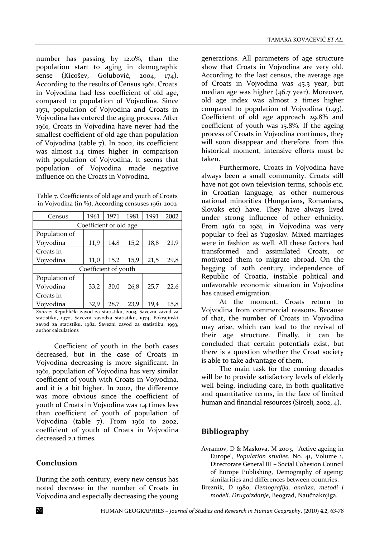number has passing by 12.0%, than the population start to aging in demographic sense (Kicošev, Golubović, 2004, 174). According to the results of Census 1961, Croats in Vojvodina had less coefficient of old age, compared to population of Vojvodina. Since 1971, population of Vojvodina and Croats in Vojvodina has entered the aging process. After 1961, Croats in Vojvodina have never had the smallest coefficient of old age than population of Vojvodina (table 7). In 2002, its coefficient was almost 1.4 times higher in comparison with population of Vojvodina. It seems that population of Vojvodina made negative influence on the Croats in Vojvodina.

Table 7. Coefficients of old age and youth of Croats in Vojvodina (in %), According censuses 1961-2002

| Census                 | 1961 | 1971 | 1981 | 1991 | 2002 |  |  |  |  |
|------------------------|------|------|------|------|------|--|--|--|--|
| Coefficient of old age |      |      |      |      |      |  |  |  |  |
| Population of          |      |      |      |      |      |  |  |  |  |
| Vojvodina              | 11,9 | 14,8 | 15,2 | 18,8 | 21,9 |  |  |  |  |
| Croats in              |      |      |      |      |      |  |  |  |  |
| Vojvodina              | 11,0 | 15,2 | 15,9 | 21,5 | 29,8 |  |  |  |  |
| Coefficient of youth   |      |      |      |      |      |  |  |  |  |
| Population of          |      |      |      |      |      |  |  |  |  |
| Vojvodina              | 33,2 | 30,0 | 26,8 | 25,7 | 22,6 |  |  |  |  |
| Croats in              |      |      |      |      |      |  |  |  |  |
| Vojvodina              | 32,9 | 28,7 | 23.9 | 19,4 | 15,8 |  |  |  |  |

*Source:* Republički zavod za statistiku, 2003, Savezni zavod za statistiku, 1970, Savezni zavodza statistiku, 1974, Pokrajinski zavod za statistiku, 1982, Savezni zavod za statistiku, 1993, author calculations

Coefficient of youth in the both cases decreased, but in the case of Croats in Vojvodina decreasing is more significant. In 1961, population of Vojvodina has very similar coefficient of youth with Croats in Vojvodina, and it is a bit higher. In 2002, the difference was more obvious since the coefficient of youth of Croats in Vojvodina was 1.4 times less than coefficient of youth of population of Vojvodina (table 7). From 1961 to 2002, coefficient of youth of Croats in Vojvodina decreased 2.1 times.

### **Conclusion**

During the 20th century, every new census has noted decrease in the number of Croats in Vojvodina and especially decreasing the young generations. All parameters of age structure show that Croats in Vojvodina are very old. According to the last census, the average age of Croats in Vojvodina was 45.3 year, but median age was higher (46.7 year). Moreover, old age index was almost 2 times higher compared to population of Vojvodina (1.93). Coefficient of old age approach 29.8% and coefficient of youth was 15.8%. If the ageing process of Croats in Vojvodina continues, they will soon disappear and therefore, from this historical moment, intensive efforts must be taken.

Furthermore, Croats in Vojvodina have always been a small community. Croats still have not got own television terms, schools etc. in Croatian language, as other numerous national minorities (Hungarians, Romanians, Slovaks etc) have. They have always lived under strong influence of other ethnicity. From 1961 to 1981, in Vojvodina was very popular to feel as Yugoslav. Mixed marriages were in fashion as well. All these factors had transformed and assimilated Croats, or motivated them to migrate abroad. On the begging of 20th century, independence of Republic of Croatia, instable political and unfavorable economic situation in Vojvodina has caused emigration.

At the moment, Croats return to Vojvodina from commercial reasons. Because of that, the number of Croats in Vojvodina may arise, which can lead to the revival of their age structure. Finally, it can be concluded that certain potentials exist, but there is a question whether the Croat society is able to take advantage of them.

The main task for the coming decades will be to provide satisfactory levels of elderly well being, including care, in both qualitative and quantitative terms, in the face of limited human and financial resources (Sircelj, 2002, 4).

### **Bibliography**

- Avramov, D & Maskova, M 2003, 'Active ageing in Europe', *Population studies*, No. 41, Volume 1, Directorate General III – Social Cohesion Council of Europe Publishing, Demography of ageing: similarities and differences between countries.
- Breznik, D 1980, *Demografija, analiza, metodi i modeli, Drugoizdanje*, Beograd, Naučnaknjiga.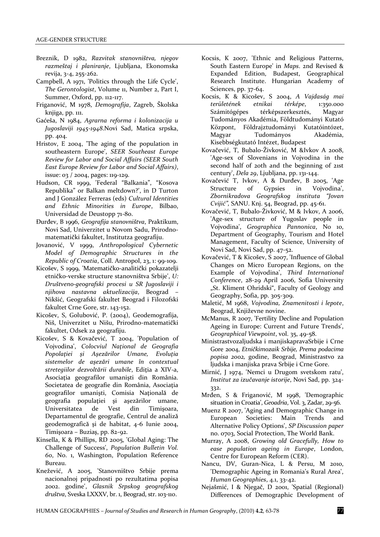- Breznik, D 1982, *Razvitak stanovništva, njegov razmeštaj i planiranje*, Ljubljana, Ekonomska revija, 3-4, 255-262.
- Campbell, A 1971, 'Politics through the Life Cycle', *The Gerontologist*, Volume 11, Number 2, Part I, Summer, Oxford, pp. 112-117.
- Friganović, M 1978, *Demografija*, Zagreb, Školska knjiga, pp. 111.
- Gaćeša, N 1984, *Agrarna reforma i kolonizacija u Jugoslaviji 1945-1948*.Novi Sad, Matica srpska, pp. 404.
- Hristov, E 2004, 'The aging of the population in southeastern Europe', *SEER Southeast Europe Review for Labor and Social Affairs (SEER South East Europe Review for Labor and Social Affairs)*, issue: 03 / 2004, pages: 119-129.
- Hudson, CR 1999, 'Federal "Balkania", "Kosova Republika" or Balkan meltdown?', in D Turton and J González Ferreras (eds) *Cultural Identities and Ethnic Minorities in Europe*, Bilbao, Universidad de Deustopp 71-80.
- Đurđev, B 1996, *Geografija stanovništva*, Praktikum, Novi Sad, Univerzitet u Novom Sadu, Prirodnomatematički fakultet, Institutza geografiju.
- Jovanović, V 1999, *Anthropological Cybernetic Model of Demographic Structures in the Republic of Croatia*, Coll. Antropol, 23, 1: 99-109.
- Kicošev, S 1999, 'Matematičko-analitički pokazatelji etničko-verske structure stanovništva Srbije', *U: Društveno-geografski procesi u SR Jugoslaviji i njihova nastavna aktuelizacija*, Beograd – Nikšić, Geografski fakultet Beograd i Filozofski fakultet Crne Gore, str. 143-152.
- Kicošev, S, Golubović, P. (2004), Geodemografija, Niš, Univerzitet u Nišu, Prirodno-matematički fakultet, Odsek za geografiju.
- Kicošev, S & Kovačević, T 2004, 'Population of Vojvodina', *Colocviul Naţional de Geografia Popolaţiei şi Aşezărilor Umane, Evoluţia sistemelor de aşezări umane în contextual stretegiilor dezvoltării durabile*, Ediţia a XIV-a, Asociaţia geografilor umanişti din România. Societatea de geografie din România, Asociaţia geografilor umanişti, Comisia Naţională de geografia populaţiei şi aşezărilor umane, Universitatea de Vest din Timişoara, Departamentul de geografie, Centrul de analiză geodemografică şi de habitat, 4-6 Iunie 2004, Timişoara – Buziaş, pp. 82-92.
- Kinsella, K & Phillips, RD 2005, 'Global Aging: The Challenge of Success', *Population Bulletin Vol. 60*, No. 1, Washington, Population Reference Bureau.
- Knežević, A 2005, 'Stanovništvo Srbije prema nacionalnoj pripadnosti po rezultatima popisa 2002. godine', *Glasnik Srpskog geografskog društva*, Sveska LXXXV, br. 1, Beograd, str. 103-110.
- Kocsis, K 2007, 'Ethnic and Religious Patterns, South Eastern Europe' in *Maps*. 2nd Revised & Expanded Edition, Budapest, Geographical Research Institute. Hungarian Academy of Sciences, pp. 37-64.
- Kocsis, K & Kicošev, S 2004, *A Vajdaság mai területének etnikai térképe*, 1:350.000 Számitógépes térképszerkesztés, Magyar Tudományos Akadémia, Földtudományi Kutató Központ, Földrajztudományi Kutatóintózet, Magyar Tudományos Akadémia, Kisebbségkutató Intézet, Budapest
- Kovačević, T, Bubalo-Živković, M &Ivkov A 2008, 'Age-sex of Slovenians in Vojvodina in the second half of 20th and the beginning of 21st century', *Dela 29*, Ljubljana, pp. 131-144.
- Kovačević T, Ivkov, A & Durđev, B 2005, 'Age Structure of Gypsies in Vojvodina', *Zbornikradova Geografskog instituta "Jovan Cvijić",* SANU. Knj. 54, Beograd, pp. 45-61.
- Kovačević, T, Bubalo-Živković, M & Ivkov, A 2006, 'Age-sex structure of Yugoslav people in Vojvodina', *Geographica Pannonica*, No 10, Department of Geography, Tourism and Hotel Management, Faculty of Science, University of Novi Sad, Novi Sad, pp. 47-52.
- Kovačević, T & Kicošev, S 2007, 'Influence of Global Changes on Micro European Regions, on the Example of Vojvodina', *Third International Conference*, 28-29 April 2006, Sofia University "St. Kliment Ohridski", Faculty of Geology and Geography, Sofia, pp. 305-309.
- Maletić, M 1968, *Vojvodina, Znamenitosti i lepote*, Beograd, Književne novine.
- McManus, R 2007, 'Fertility Decline and Population Ageing in Europe: Current and Future Trends', *Geographical Viewpoint*, vol. 35, 49-58.
- Ministrastvozaljudska i manjiskapravaSrbije i Crne Gore 2004, *Etničkimozaik Srbije, Prema podacima popisa 2002,* godine, Beograd, Ministrastvo za ljudska i manjiska prava Srbije i Crne Gore.
- Mirnić, J 1974, 'Nemci u Drugom svetskom ratu', *Institut za izučavanje istorije*, Novi Sad, pp. 324- 332.
- Mrđen, S & Friganović, M 1998, 'Demographic situation in Croatia', *Geoadria*, Vol. 3, Zadar, 29-56.
- Muenz R 2007, 'Aging and Demographic Change in European Societies: Main Trends and Alternative Policy Options', *SP Discussion paper* no. 0703, Social Protection, The World Bank.
- Murray, A 2008, *Growing old Gracefully, How to ease population ageing in Europe*, London, Centre for European Reform (CER).
- Nancu, DV, Guran-Nica, L & Persu, M 2010, 'Demographic Ageing in Romania's Rural Area', *Human Geographies*, 4.1, 33-42.
- Nejašmić, I & Njegač, D 2001, 'Spatial (Regional) Differences of Demographic Development of